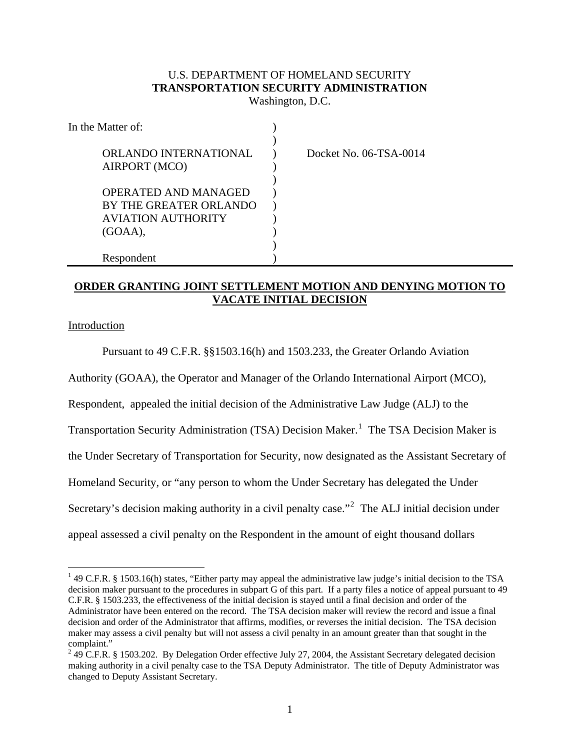# U.S. DEPARTMENT OF HOMELAND SECURITY **TRANSPORTATION SECURITY ADMINISTRATION**

Washington, D.C.

| In the Matter of:           |                        |
|-----------------------------|------------------------|
|                             |                        |
| ORLANDO INTERNATIONAL       | Docket No. 06-TSA-0014 |
| AIRPORT (MCO)               |                        |
|                             |                        |
| <b>OPERATED AND MANAGED</b> |                        |
| BY THE GREATER ORLANDO      |                        |
| <b>AVIATION AUTHORITY</b>   |                        |
| (GOAA),                     |                        |
|                             |                        |
| Respondent                  |                        |

## **ORDER GRANTING JOINT SETTLEMENT MOTION AND DENYING MOTION TO VACATE INITIAL DECISION**

Introduction

 Pursuant to 49 C.F.R. §§1503.16(h) and 1503.233, the Greater Orlando Aviation Authority (GOAA), the Operator and Manager of the Orlando International Airport (MCO), Respondent, appealed the initial decision of the Administrative Law Judge (ALJ) to the Transportation Security Administration (TSA) Decision Maker.<sup>1</sup> The TSA Decision Maker is the Under Secretary of Transportation for Security, now designated as the Assistant Secretary of Homeland Security, or "any person to whom the Under Secretary has delegated the Under Secretary's decision making authority in a civil penalty case."<sup>2</sup> The ALJ initial decision under appeal assessed a civil penalty on the Respondent in the amount of eight thousand dollars

 $\overline{a}$ <sup>1</sup> 49 C.F.R. § 1503.16(h) states, "Either party may appeal the administrative law judge's initial decision to the TSA decision maker pursuant to the procedures in subpart G of this part. If a party files a notice of appeal pursuant to 49 C.F.R. § 1503.233, the effectiveness of the initial decision is stayed until a final decision and order of the Administrator have been entered on the record. The TSA decision maker will review the record and issue a final decision and order of the Administrator that affirms, modifies, or reverses the initial decision. The TSA decision maker may assess a civil penalty but will not assess a civil penalty in an amount greater than that sought in the complaint."

 $249$  C.F.R. § 1503.202. By Delegation Order effective July 27, 2004, the Assistant Secretary delegated decision making authority in a civil penalty case to the TSA Deputy Administrator. The title of Deputy Administrator was changed to Deputy Assistant Secretary.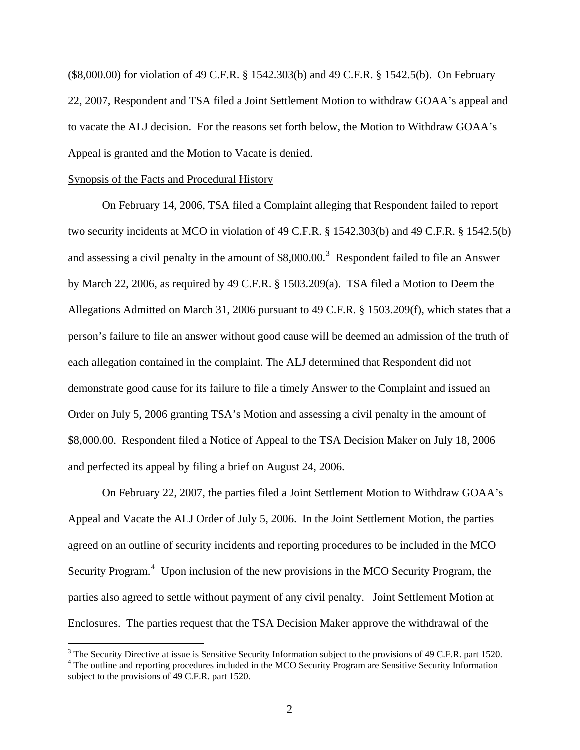(\$8,000.00) for violation of 49 C.F.R. § 1542.303(b) and 49 C.F.R. § 1542.5(b). On February 22, 2007, Respondent and TSA filed a Joint Settlement Motion to withdraw GOAA's appeal and to vacate the ALJ decision. For the reasons set forth below, the Motion to Withdraw GOAA's Appeal is granted and the Motion to Vacate is denied.

### Synopsis of the Facts and Procedural History

 $\overline{a}$ 

On February 14, 2006, TSA filed a Complaint alleging that Respondent failed to report two security incidents at MCO in violation of 49 C.F.R. § 1542.303(b) and 49 C.F.R. § 1542.5(b) and assessing a civil penalty in the amount of  $$8,000.00$ .<sup>3</sup> Respondent failed to file an Answer by March 22, 2006, as required by 49 C.F.R. § 1503.209(a). TSA filed a Motion to Deem the Allegations Admitted on March 31, 2006 pursuant to 49 C.F.R. § 1503.209(f), which states that a person's failure to file an answer without good cause will be deemed an admission of the truth of each allegation contained in the complaint. The ALJ determined that Respondent did not demonstrate good cause for its failure to file a timely Answer to the Complaint and issued an Order on July 5, 2006 granting TSA's Motion and assessing a civil penalty in the amount of \$8,000.00. Respondent filed a Notice of Appeal to the TSA Decision Maker on July 18, 2006 and perfected its appeal by filing a brief on August 24, 2006.

On February 22, 2007, the parties filed a Joint Settlement Motion to Withdraw GOAA's Appeal and Vacate the ALJ Order of July 5, 2006. In the Joint Settlement Motion, the parties agreed on an outline of security incidents and reporting procedures to be included in the MCO Security Program.<sup>4</sup> Upon inclusion of the new provisions in the MCO Security Program, the parties also agreed to settle without payment of any civil penalty. Joint Settlement Motion at Enclosures. The parties request that the TSA Decision Maker approve the withdrawal of the

<sup>&</sup>lt;sup>3</sup> The Security Directive at issue is Sensitive Security Information subject to the provisions of 49 C.F.R. part 1520. <sup>4</sup> The outline and reporting procedures included in the MCO Security Program are Sensitive Security Information subject to the provisions of 49 C.F.R. part 1520.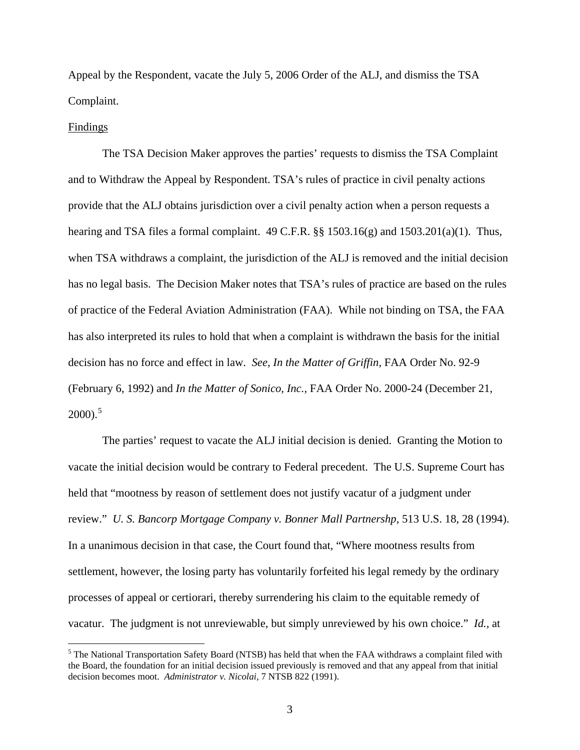Appeal by the Respondent, vacate the July 5, 2006 Order of the ALJ, and dismiss the TSA Complaint.

#### Findings

 $\overline{a}$ 

 The TSA Decision Maker approves the parties' requests to dismiss the TSA Complaint and to Withdraw the Appeal by Respondent. TSA's rules of practice in civil penalty actions provide that the ALJ obtains jurisdiction over a civil penalty action when a person requests a hearing and TSA files a formal complaint.  $49 \text{ C.F.R.}$  §§  $1503.16(g)$  and  $1503.201(a)(1)$ . Thus, when TSA withdraws a complaint, the jurisdiction of the ALJ is removed and the initial decision has no legal basis. The Decision Maker notes that TSA's rules of practice are based on the rules of practice of the Federal Aviation Administration (FAA). While not binding on TSA, the FAA has also interpreted its rules to hold that when a complaint is withdrawn the basis for the initial decision has no force and effect in law. *See, In the Matter of Griffin,* FAA Order No. 92-9 (February 6, 1992) and *In the Matter of Sonico, Inc.,* FAA Order No. 2000-24 (December 21,  $2000$ ).<sup>5</sup>

 The parties' request to vacate the ALJ initial decision is denied. Granting the Motion to vacate the initial decision would be contrary to Federal precedent. The U.S. Supreme Court has held that "mootness by reason of settlement does not justify vacatur of a judgment under review." *U. S. Bancorp Mortgage Company v. Bonner Mall Partnershp,* 513 U.S. 18, 28 (1994). In a unanimous decision in that case, the Court found that, "Where mootness results from settlement, however, the losing party has voluntarily forfeited his legal remedy by the ordinary processes of appeal or certiorari, thereby surrendering his claim to the equitable remedy of vacatur. The judgment is not unreviewable, but simply unreviewed by his own choice." *Id.,* at

<sup>&</sup>lt;sup>5</sup> The National Transportation Safety Board (NTSB) has held that when the FAA withdraws a complaint filed with the Board, the foundation for an initial decision issued previously is removed and that any appeal from that initial decision becomes moot. *Administrator v. Nicolai,* 7 NTSB 822 (1991).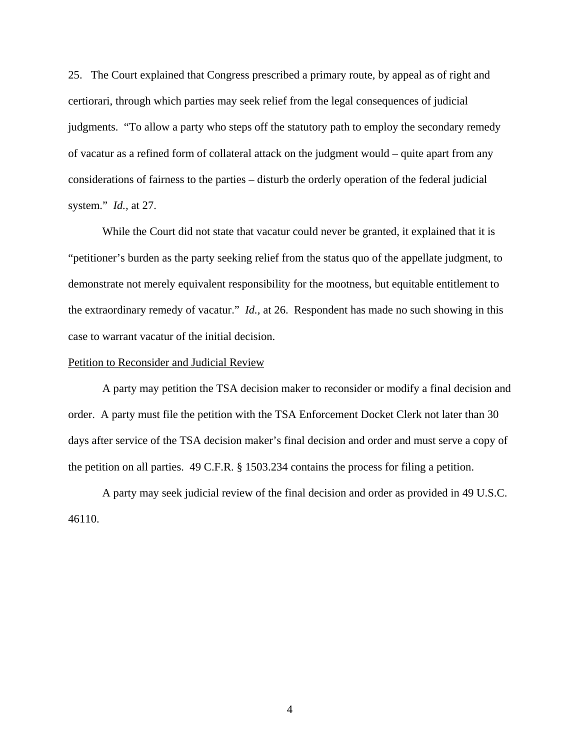25. The Court explained that Congress prescribed a primary route, by appeal as of right and certiorari, through which parties may seek relief from the legal consequences of judicial judgments. "To allow a party who steps off the statutory path to employ the secondary remedy of vacatur as a refined form of collateral attack on the judgment would – quite apart from any considerations of fairness to the parties – disturb the orderly operation of the federal judicial system." *Id.,* at 27.

 While the Court did not state that vacatur could never be granted, it explained that it is "petitioner's burden as the party seeking relief from the status quo of the appellate judgment, to demonstrate not merely equivalent responsibility for the mootness, but equitable entitlement to the extraordinary remedy of vacatur." *Id.,* at 26. Respondent has made no such showing in this case to warrant vacatur of the initial decision.

### Petition to Reconsider and Judicial Review

 A party may petition the TSA decision maker to reconsider or modify a final decision and order. A party must file the petition with the TSA Enforcement Docket Clerk not later than 30 days after service of the TSA decision maker's final decision and order and must serve a copy of the petition on all parties. 49 C.F.R. § 1503.234 contains the process for filing a petition.

 A party may seek judicial review of the final decision and order as provided in 49 U.S.C. 46110.

4